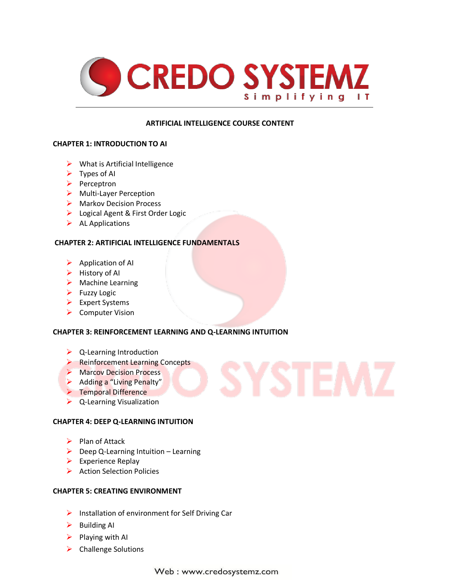

# **ARTIFICIAL INTELLIGENCE COURSE CONTENT**

#### **CHAPTER 1: INTRODUCTION TO AI**

- $\triangleright$  What is Artificial Intelligence
- $\triangleright$  Types of AI
- $\triangleright$  Perceptron
- > Multi-Layer Perception
- ▶ Markov Decision Process
- Logical Agent & First Order Logic
- $\triangleright$  AL Applications

# **CHAPTER 2: ARTIFICIAL INTELLIGENCE FUNDAMENTALS**

- $\triangleright$  Application of AI
- $\blacktriangleright$  History of AI
- > Machine Learning
- $\blacktriangleright$  Fuzzy Logic
- $\triangleright$  Expert Systems
- $\triangleright$  Computer Vision

# **CHAPTER 3: REINFORCEMENT LEARNING AND Q-LEARNING INTUITION**

- $\triangleright$  Q-Learning Introduction
- **Reinforcement Learning Concepts**
- Marcov Decision Process
- $\triangleright$  Adding a "Living Penalty"
- **F** Temporal Difference
- $\triangleright$  Q-Learning Visualization

# **CHAPTER 4: DEEP Q-LEARNING INTUITION**

- $\triangleright$  Plan of Attack
- $\triangleright$  Deep Q-Learning Intuition Learning
- $\triangleright$  Experience Replay
- $\triangleright$  Action Selection Policies

#### **CHAPTER 5: CREATING ENVIRONMENT**

- $\triangleright$  Installation of environment for Self Driving Car
- $\triangleright$  Building AI
- $\triangleright$  Playing with AI
- $\triangleright$  Challenge Solutions